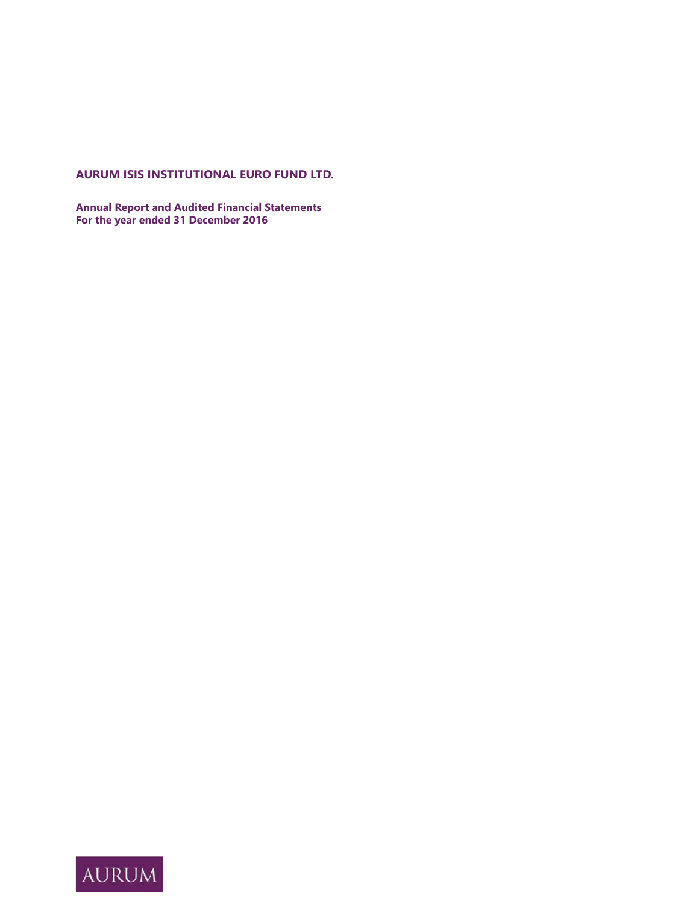# **AURUM ISIS INSTITUTIONAL EURO FUND LTD.**

**Annual Report and Audited Financial Statements For the year ended 31 December 2016**

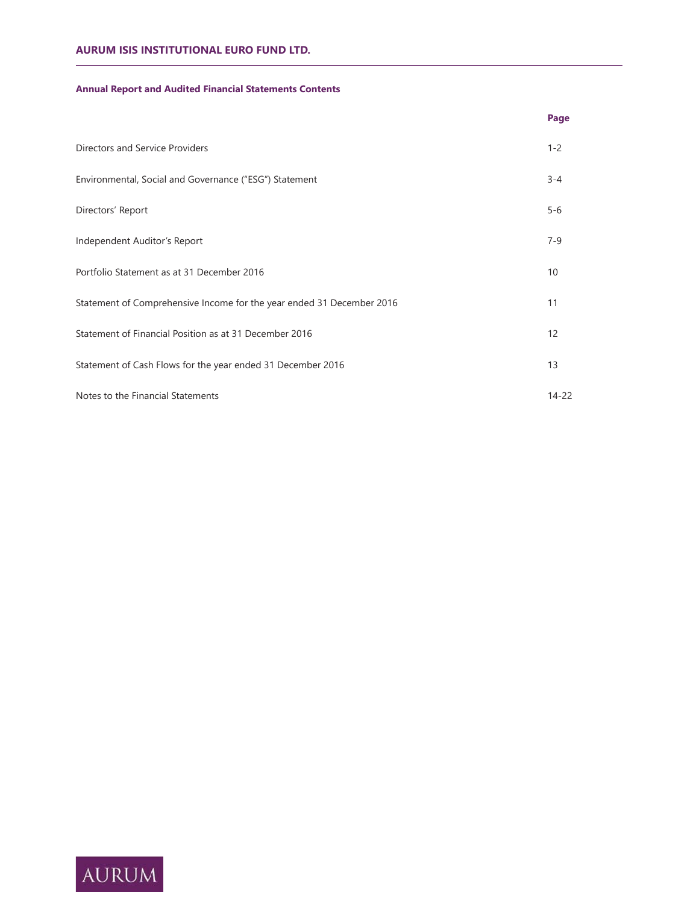# **Annual Report and Audited Financial Statements Contents**

|                                                                       | Page      |
|-----------------------------------------------------------------------|-----------|
| Directors and Service Providers                                       | $1 - 2$   |
| Environmental, Social and Governance ("ESG") Statement                | $3 - 4$   |
| Directors' Report                                                     | $5-6$     |
| Independent Auditor's Report                                          | $7 - 9$   |
| Portfolio Statement as at 31 December 2016                            | 10        |
| Statement of Comprehensive Income for the year ended 31 December 2016 | 11        |
| Statement of Financial Position as at 31 December 2016                | 12        |
| Statement of Cash Flows for the year ended 31 December 2016           | 13        |
| Notes to the Financial Statements                                     | $14 - 22$ |

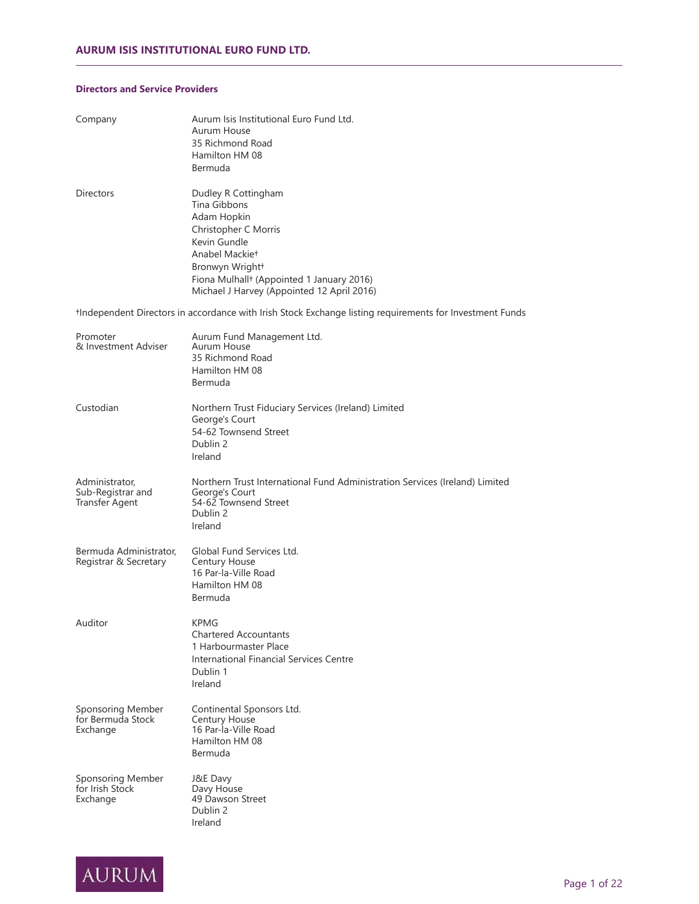# **Directors and Service Providers**

| Company                                                      | Aurum Isis Institutional Euro Fund Ltd.<br>Aurum House<br>35 Richmond Road<br>Hamilton HM 08<br>Bermuda                                                                                                                                |
|--------------------------------------------------------------|----------------------------------------------------------------------------------------------------------------------------------------------------------------------------------------------------------------------------------------|
| Directors                                                    | Dudley R Cottingham<br>Tina Gibbons<br>Adam Hopkin<br>Christopher C Morris<br>Kevin Gundle<br>Anabel Mackiet<br>Bronwyn Wright+<br>Fiona Mulhall <sup>+</sup> (Appointed 1 January 2016)<br>Michael J Harvey (Appointed 12 April 2016) |
|                                                              | tIndependent Directors in accordance with Irish Stock Exchange listing requirements for Investment Funds                                                                                                                               |
| Promoter<br>& Investment Adviser                             | Aurum Fund Management Ltd.<br>Aurum House<br>35 Richmond Road<br>Hamilton HM 08<br>Bermuda                                                                                                                                             |
| Custodian                                                    | Northern Trust Fiduciary Services (Ireland) Limited<br>George's Court<br>54-62 Townsend Street<br>Dublin 2<br>Ireland                                                                                                                  |
| Administrator,<br>Sub-Registrar and<br><b>Transfer Agent</b> | Northern Trust International Fund Administration Services (Ireland) Limited<br>George's Court<br>54-62 Townsend Street<br>Dublin 2<br>Ireland                                                                                          |
| Bermuda Administrator,<br>Registrar & Secretary              | Global Fund Services Ltd.<br><b>Century House</b><br>16 Par-la-Ville Road<br>Hamilton HM 08<br>Bermuda                                                                                                                                 |
| Auditor                                                      | <b>KPMG</b><br><b>Chartered Accountants</b><br>1 Harbourmaster Place<br>International Financial Services Centre<br>Dublin 1<br>Ireland                                                                                                 |
| Sponsoring Member<br>for Bermuda Stock<br>Exchange           | Continental Sponsors Ltd.<br>Century House<br>16 Par-la-Ville Road<br>Hamilton HM 08<br>Bermuda                                                                                                                                        |
| Sponsoring Member<br>for Irish Stock<br>Exchange             | J&E Davy<br>Davy House<br>49 Dawson Street<br>Dublin 2<br>Ireland                                                                                                                                                                      |

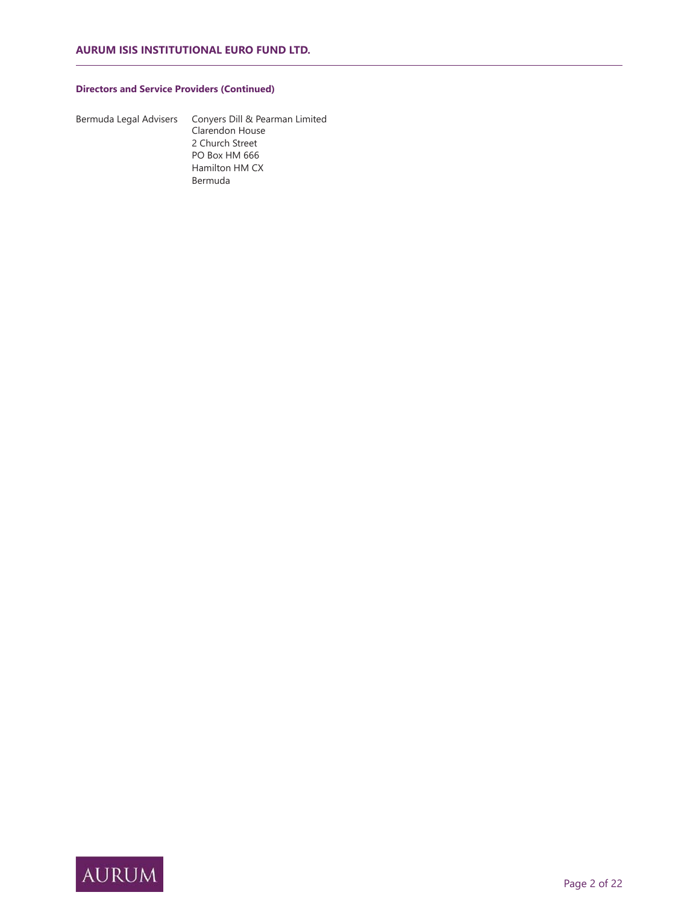# **Directors and Service Providers (Continued)**

| Bermuda Legal Advise |  |  |
|----------------------|--|--|
|----------------------|--|--|

ers Conyers Dill & Pearman Limited Clarendon House 2 Church Street PO Box HM 666 Hamilton HM CX Bermuda

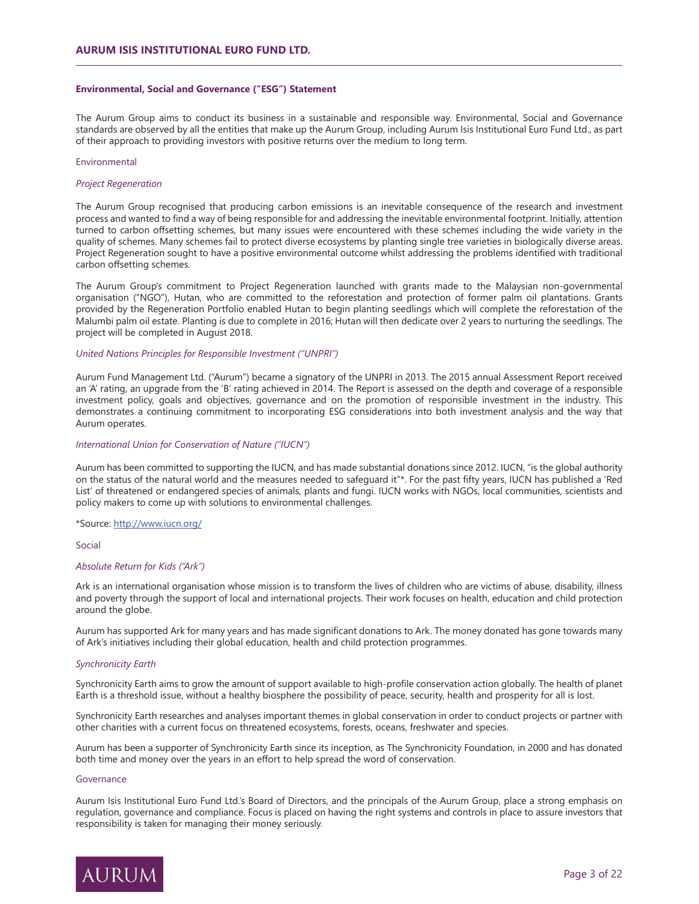## **Environmental, Social and Governance ("ESG") Statement**

The Aurum Group aims to conduct its business in a sustainable and responsible way. Environmental, Social and Governance standards are observed by all the entities that make up the Aurum Group, including Aurum Isis Institutional Euro Fund Ltd., as part of their approach to providing investors with positive returns over the medium to long term.

## Environmental

## *Project Regeneration*

The Aurum Group recognised that producing carbon emissions is an inevitable consequence of the research and investment process and wanted to find a way of being responsible for and addressing the inevitable environmental footprint. Initially, attention turned to carbon offsetting schemes, but many issues were encountered with these schemes including the wide variety in the quality of schemes. Many schemes fail to protect diverse ecosystems by planting single tree varieties in biologically diverse areas. Project Regeneration sought to have a positive environmental outcome whilst addressing the problems identified with traditional carbon offsetting schemes.

The Aurum Group's commitment to Project Regeneration launched with grants made to the Malaysian non-governmental organisation ("NGO"), Hutan, who are committed to the reforestation and protection of former palm oil plantations. Grants provided by the Regeneration Portfolio enabled Hutan to begin planting seedlings which will complete the reforestation of the Malumbi palm oil estate. Planting is due to complete in 2016; Hutan will then dedicate over 2 years to nurturing the seedlings. The project will be completed in August 2018.

#### *United Nations Principles for Responsible Investment ("UNPRI")*

Aurum Fund Management Ltd. ("Aurum") became a signatory of the UNPRI in 2013. The 2015 annual Assessment Report received an 'A' rating, an upgrade from the 'B' rating achieved in 2014. The Report is assessed on the depth and coverage of a responsible investment policy, goals and objectives, governance and on the promotion of responsible investment in the industry. This demonstrates a continuing commitment to incorporating ESG considerations into both investment analysis and the way that Aurum operates.

### *International Union for Conservation of Nature ("IUCN")*

Aurum has been committed to supporting the IUCN, and has made substantial donations since 2012. IUCN, "is the global authority on the status of the natural world and the measures needed to safequard it"\*. For the past fifty years, IUCN has published a 'Red List' of threatened or endangered species of animals, plants and fungi. IUCN works with NGOs, local communities, scientists and policy makers to come up with solutions to environmental challenges.

#### \*Source: http://www.iucn.org/

### Social

#### *Absolute Return for Kids ("Ark")*

Ark is an international organisation whose mission is to transform the lives of children who are victims of abuse, disability, illness and poverty through the support of local and international projects. Their work focuses on health, education and child protection around the globe.

Aurum has supported Ark for many years and has made significant donations to Ark. The money donated has gone towards many of Ark's initiatives including their global education, health and child protection programmes.

#### *Synchronicity Earth*

Synchronicity Earth aims to grow the amount of support available to high-profile conservation action globally. The health of planet Earth is a threshold issue, without a healthy biosphere the possibility of peace, security, health and prosperity for all is lost.

Synchronicity Earth researches and analyses important themes in global conservation in order to conduct projects or partner with other charities with a current focus on threatened ecosystems, forests, oceans, freshwater and species.

Aurum has been a supporter of Synchronicity Earth since its inception, as The Synchronicity Foundation, in 2000 and has donated both time and money over the years in an effort to help spread the word of conservation.

## Governance

Aurum Isis Institutional Euro Fund Ltd.'s Board of Directors, and the principals of the Aurum Group, place a strong emphasis on regulation, governance and compliance. Focus is placed on having the right systems and controls in place to assure investors that responsibility is taken for managing their money seriously.

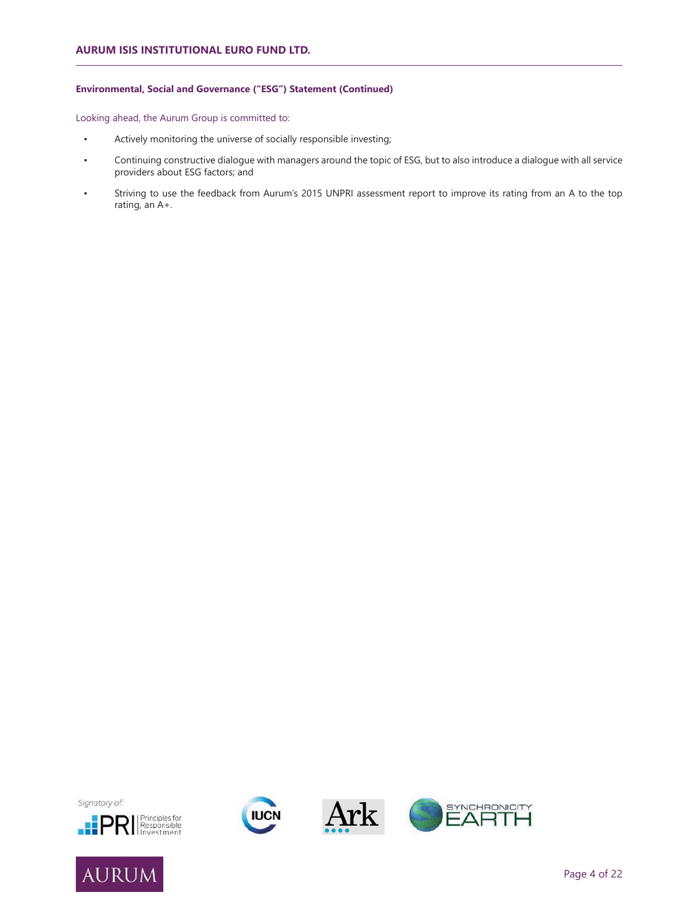# **Environmental, Social and Governance ("ESG") Statement (Continued)**

Looking ahead, the Aurum Group is committed to:

- Actively monitoring the universe of socially responsible investing;
- Continuing constructive dialogue with managers around the topic of ESG, but to also introduce a dialogue with all service providers about ESG factors; and
- Striving to use the feedback from Aurum's 2015 UNPRI assessment report to improve its rating from an A to the top rating, an A+.









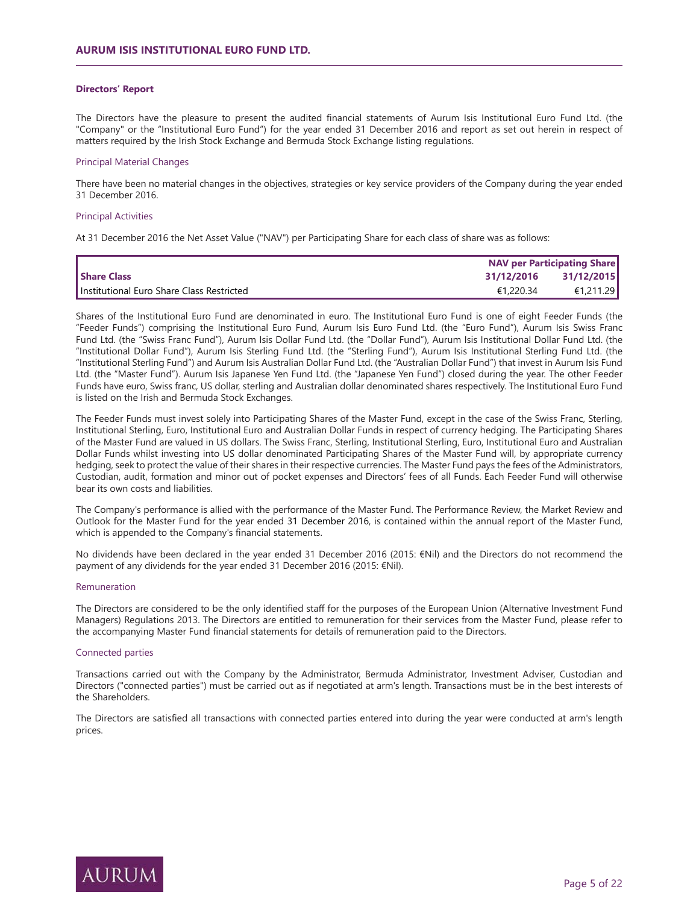## **Directors' Report**

The Directors have the pleasure to present the audited financial statements of Aurum Isis Institutional Euro Fund Ltd. (the "Company" or the "Institutional Euro Fund") for the year ended 31 December 2016 and report as set out herein in respect of matters required by the Irish Stock Exchange and Bermuda Stock Exchange listing regulations.

## Principal Material Changes

There have been no material changes in the objectives, strategies or key service providers of the Company during the year ended 31 December 2016.

## Principal Activities

At 31 December 2016 the Net Asset Value ("NAV") per Participating Share for each class of share was as follows:

|                                             |            | <b>NAV per Participating Share</b> |  |
|---------------------------------------------|------------|------------------------------------|--|
| <b>Share Class</b>                          | 31/12/2016 | 31/12/2015                         |  |
| I Institutional Euro Share Class Restricted | €1,220.34  | €1,211.29                          |  |

Shares of the Institutional Euro Fund are denominated in euro. The Institutional Euro Fund is one of eight Feeder Funds (the "Feeder Funds") comprising the Institutional Euro Fund, Aurum Isis Euro Fund Ltd. (the "Euro Fund"), Aurum Isis Swiss Franc Fund Ltd. (the "Swiss Franc Fund"), Aurum Isis Dollar Fund Ltd. (the "Dollar Fund"), Aurum Isis Institutional Dollar Fund Ltd. (the "Institutional Dollar Fund"), Aurum Isis Sterling Fund Ltd. (the "Sterling Fund"), Aurum Isis Institutional Sterling Fund Ltd. (the "Institutional Sterling Fund") and Aurum Isis Australian Dollar Fund Ltd. (the "Australian Dollar Fund") that invest in Aurum Isis Fund Ltd. (the "Master Fund"). Aurum Isis Japanese Yen Fund Ltd. (the "Japanese Yen Fund") closed during the year. The other Feeder Funds have euro, Swiss franc, US dollar, sterling and Australian dollar denominated shares respectively. The Institutional Euro Fund is listed on the Irish and Bermuda Stock Exchanges.

The Feeder Funds must invest solely into Participating Shares of the Master Fund, except in the case of the Swiss Franc, Sterling, Institutional Sterling, Euro, Institutional Euro and Australian Dollar Funds in respect of currency hedging. The Participating Shares of the Master Fund are valued in US dollars. The Swiss Franc, Sterling, Institutional Sterling, Euro, Institutional Euro and Australian Dollar Funds whilst investing into US dollar denominated Participating Shares of the Master Fund will, by appropriate currency hedging, seek to protect the value of their shares in their respective currencies. The Master Fund pays the fees of the Administrators, Custodian, audit, formation and minor out of pocket expenses and Directors' fees of all Funds. Each Feeder Fund will otherwise bear its own costs and liabilities.

The Company's performance is allied with the performance of the Master Fund. The Performance Review, the Market Review and Outlook for the Master Fund for the year ended 31 December 2016, is contained within the annual report of the Master Fund, which is appended to the Company's financial statements.

No dividends have been declared in the year ended 31 December 2016 (2015: €Nil) and the Directors do not recommend the payment of any dividends for the year ended 31 December 2016 (2015: €Nil).

#### Remuneration

The Directors are considered to be the only identified staff for the purposes of the European Union (Alternative Investment Fund Managers) Regulations 2013. The Directors are entitled to remuneration for their services from the Master Fund, please refer to the accompanying Master Fund financial statements for details of remuneration paid to the Directors.

#### Connected parties

Transactions carried out with the Company by the Administrator, Bermuda Administrator, Investment Adviser, Custodian and Directors ("connected parties") must be carried out as if negotiated at arm's length. Transactions must be in the best interests of the Shareholders.

The Directors are satisfied all transactions with connected parties entered into during the year were conducted at arm's length prices.

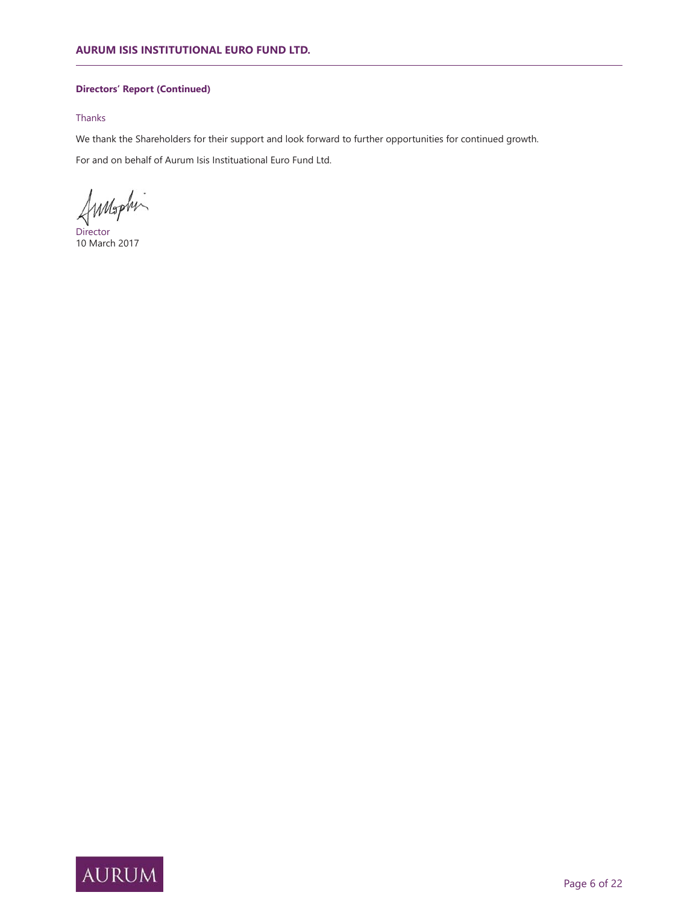# **Directors' Report (Continued)**

# Thanks

We thank the Shareholders for their support and look forward to further opportunities for continued growth.

For and on behalf of Aurum Isis Instituational Euro Fund Ltd.

*Awaphi* 

10 March 2017

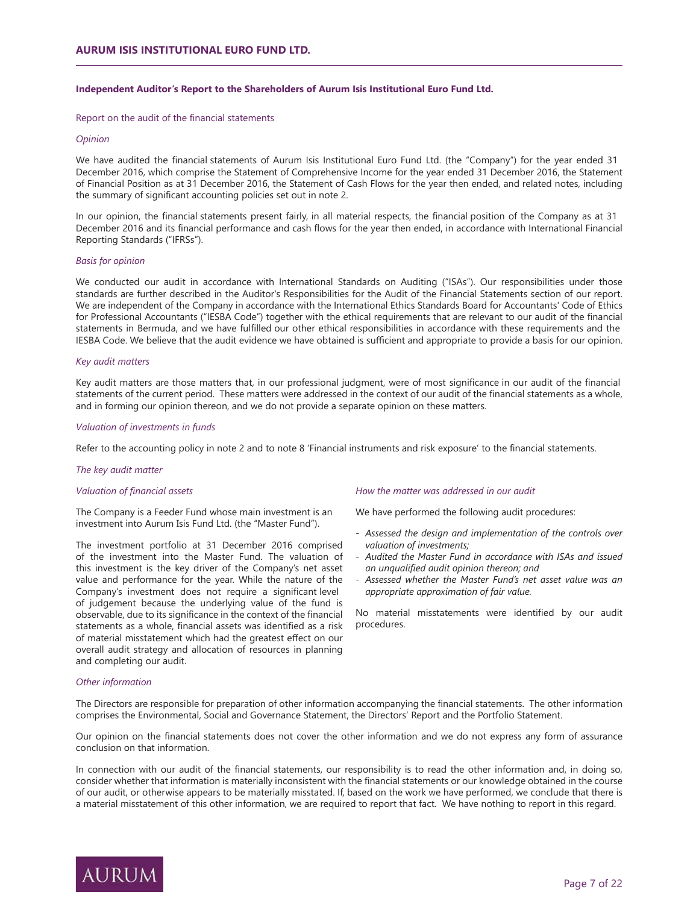## **Independent Auditor's Report to the Shareholders of Aurum Isis Institutional Euro Fund Ltd.**

Report on the audit of the financial statements

## *Opinion*

We have audited the financial statements of Aurum Isis Institutional Euro Fund Ltd. (the "Company") for the year ended 31 December 2016, which comprise the Statement of Comprehensive Income for the year ended 31 December 2016, the Statement of Financial Position as at 31 December 2016, the Statement of Cash Flows for the year then ended, and related notes, including the summary of significant accounting policies set out in note 2.

In our opinion, the financial statements present fairly, in all material respects, the financial position of the Company as at 31 December 2016 and its financial performance and cash flows for the year then ended, in accordance with International Financial Reporting Standards ("IFRSs").

## *Basis for opinion*

We conducted our audit in accordance with International Standards on Auditing ("ISAs"). Our responsibilities under those standards are further described in the Auditor's Responsibilities for the Audit of the Financial Statements section of our report. We are independent of the Company in accordance with the International Ethics Standards Board for Accountants' Code of Ethics for Professional Accountants ("IESBA Code") together with the ethical requirements that are relevant to our audit of the financial statements in Bermuda, and we have fulfilled our other ethical responsibilities in accordance with these requirements and the IESBA Code. We believe that the audit evidence we have obtained is sufficient and appropriate to provide a basis for our opinion.

#### *Key audit matters*

Key audit matters are those matters that, in our professional judgment, were of most significance in our audit of the financial statements of the current period. These matters were addressed in the context of our audit of the financial statements as a whole, and in forming our opinion thereon, and we do not provide a separate opinion on these matters.

## *Valuation of investments in funds*

Refer to the accounting policy in note 2 and to note 8 'Financial instruments and risk exposure' to the financial statements.

## *The key audit matter*

## *Valuation of financial assets*

The Company is a Feeder Fund whose main investment is an investment into Aurum Isis Fund Ltd. (the "Master Fund").

The investment portfolio at 31 December 2016 comprised of the investment into the Master Fund. The valuation of this investment is the key driver of the Company's net asset value and performance for the year. While the nature of the Company's investment does not require a significant level of judgement because the underlying value of the fund is observable, due to its significance in the context of the financial statements as a whole, financial assets was identified as a risk of material misstatement which had the greatest effect on our overall audit strategy and allocation of resources in planning and completing our audit.

#### *How the matter was addressed in our audit*

We have performed the following audit procedures:

- *Assessed the design and implementation of the controls over valuation of investments;*
- *Audited the Master Fund in accordance with ISAs and issued* an unqualified audit opinion thereon; and
- *Assessed whether the Master Fund's net asset value was an appropriate approximation of fair value.*

No material misstatements were identified by our audit procedures.

#### *Other information*

The Directors are responsible for preparation of other information accompanying the financial statements. The other information comprises the Environmental, Social and Governance Statement, the Directors' Report and the Portfolio Statement.

Our opinion on the financial statements does not cover the other information and we do not express any form of assurance conclusion on that information.

In connection with our audit of the financial statements, our responsibility is to read the other information and, in doing so, consider whether that information is materially inconsistent with the financial statements or our knowledge obtained in the course of our audit, or otherwise appears to be materially misstated. If, based on the work we have performed, we conclude that there is a material misstatement of this other information, we are required to report that fact. We have nothing to report in this regard.

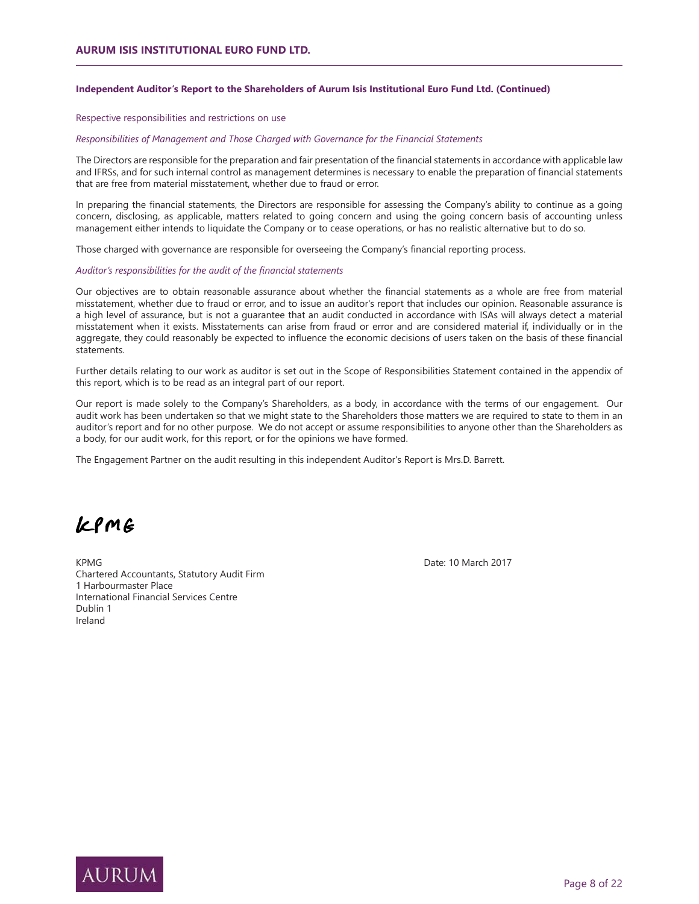## **Independent Auditor's Report to the Shareholders of Aurum Isis Institutional Euro Fund Ltd. (Continued)**

Respective responsibilities and restrictions on use

*Responsibilities of Management and Those Charged with Governance for the Financial Statements*

The Directors are responsible for the preparation and fair presentation of the financial statements in accordance with applicable law and IFRSs, and for such internal control as management determines is necessary to enable the preparation of financial statements that are free from material misstatement, whether due to fraud or error.

In preparing the financial statements, the Directors are responsible for assessing the Company's ability to continue as a going concern, disclosing, as applicable, matters related to going concern and using the going concern basis of accounting unless management either intends to liquidate the Company or to cease operations, or has no realistic alternative but to do so.

Those charged with governance are responsible for overseeing the Company's financial reporting process.

## Auditor's responsibilities for the audit of the financial statements

Our objectives are to obtain reasonable assurance about whether the financial statements as a whole are free from material misstatement, whether due to fraud or error, and to issue an auditor's report that includes our opinion. Reasonable assurance is a high level of assurance, but is not a guarantee that an audit conducted in accordance with ISAs will always detect a material misstatement when it exists. Misstatements can arise from fraud or error and are considered material if, individually or in the aggregate, they could reasonably be expected to influence the economic decisions of users taken on the basis of these financial statements.

Further details relating to our work as auditor is set out in the Scope of Responsibilities Statement contained in the appendix of this report, which is to be read as an integral part of our report.

Our report is made solely to the Company's Shareholders, as a body, in accordance with the terms of our engagement. Our audit work has been undertaken so that we might state to the Shareholders those matters we are required to state to them in an auditor's report and for no other purpose. We do not accept or assume responsibilities to anyone other than the Shareholders as a body, for our audit work, for this report, or for the opinions we have formed.

The Engagement Partner on the audit resulting in this independent Auditor's Report is Mrs.D. Barrett.

KPME

KPMG **Date: 10 March 2017** Chartered Accountants, Statutory Audit Firm 1 Harbourmaster Place International Financial Services Centre Dublin 1 Ireland

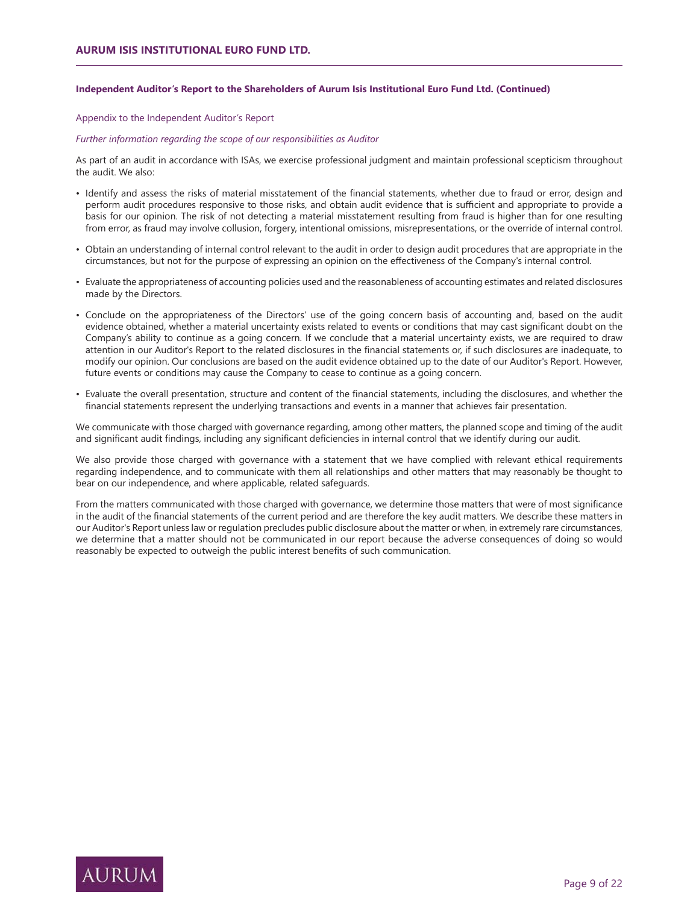## **Independent Auditor's Report to the Shareholders of Aurum Isis Institutional Euro Fund Ltd. (Continued)**

## Appendix to the Independent Auditor's Report

## *Further information regarding the scope of our responsibilities as Auditor*

As part of an audit in accordance with ISAs, we exercise professional judgment and maintain professional scepticism throughout the audit. We also:

- Identify and assess the risks of material misstatement of the financial statements, whether due to fraud or error, design and perform audit procedures responsive to those risks, and obtain audit evidence that is sufficient and appropriate to provide a basis for our opinion. The risk of not detecting a material misstatement resulting from fraud is higher than for one resulting from error, as fraud may involve collusion, forgery, intentional omissions, misrepresentations, or the override of internal control.
- Obtain an understanding of internal control relevant to the audit in order to design audit procedures that are appropriate in the circumstances, but not for the purpose of expressing an opinion on the effectiveness of the Company's internal control.
- Evaluate the appropriateness of accounting policies used and the reasonableness of accounting estimates and related disclosures made by the Directors.
- Conclude on the appropriateness of the Directors' use of the going concern basis of accounting and, based on the audit evidence obtained, whether a material uncertainty exists related to events or conditions that may cast significant doubt on the Company's ability to continue as a going concern. If we conclude that a material uncertainty exists, we are required to draw attention in our Auditor's Report to the related disclosures in the financial statements or, if such disclosures are inadequate, to modify our opinion. Our conclusions are based on the audit evidence obtained up to the date of our Auditor's Report. However, future events or conditions may cause the Company to cease to continue as a going concern.
- Evaluate the overall presentation, structure and content of the financial statements, including the disclosures, and whether the financial statements represent the underlying transactions and events in a manner that achieves fair presentation.

We communicate with those charged with governance regarding, among other matters, the planned scope and timing of the audit and significant audit findings, including any significant deficiencies in internal control that we identify during our audit.

We also provide those charged with governance with a statement that we have complied with relevant ethical requirements regarding independence, and to communicate with them all relationships and other matters that may reasonably be thought to bear on our independence, and where applicable, related safeguards.

From the matters communicated with those charged with governance, we determine those matters that were of most significance in the audit of the financial statements of the current period and are therefore the key audit matters. We describe these matters in our Auditor's Report unless law or regulation precludes public disclosure about the matter or when, in extremely rare circumstances, we determine that a matter should not be communicated in our report because the adverse consequences of doing so would reasonably be expected to outweigh the public interest benefits of such communication.

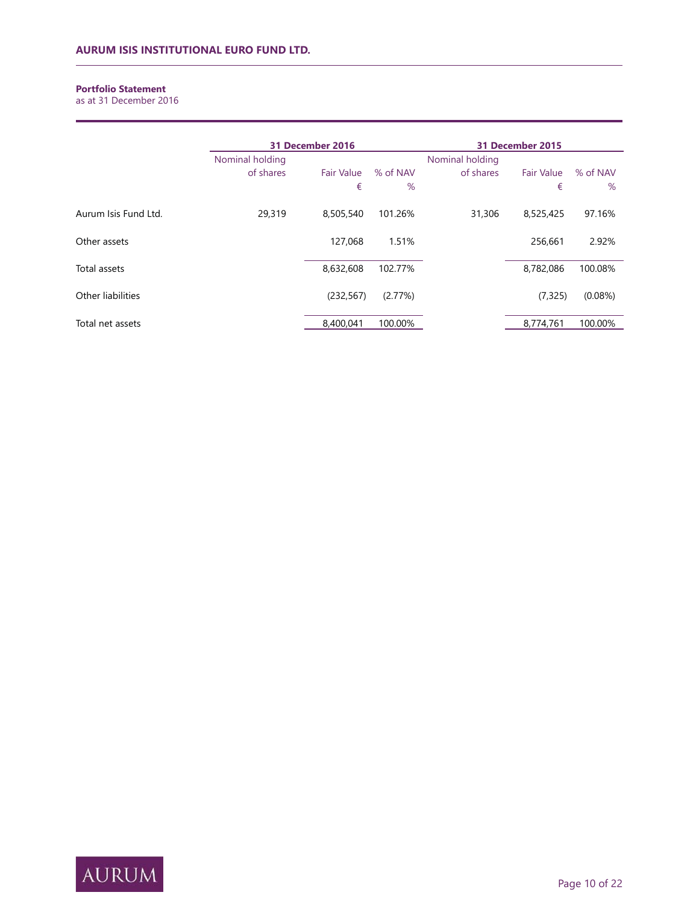# **Portfolio Statement**

as at 31 December 2016

|                      | 31 December 2016 |                   | 31 December 2015 |                 |                   |          |
|----------------------|------------------|-------------------|------------------|-----------------|-------------------|----------|
|                      | Nominal holding  |                   |                  | Nominal holding |                   |          |
|                      | of shares        | <b>Fair Value</b> | % of NAV         | of shares       | <b>Fair Value</b> | % of NAV |
|                      |                  | €                 | %                |                 | €                 | $\%$     |
| Aurum Isis Fund Ltd. | 29,319           | 8,505,540         | 101.26%          | 31,306          | 8,525,425         | 97.16%   |
| Other assets         |                  | 127,068           | 1.51%            |                 | 256,661           | 2.92%    |
| Total assets         |                  | 8,632,608         | 102.77%          |                 | 8,782,086         | 100.08%  |
| Other liabilities    |                  | (232, 567)        | (2.77%)          |                 | (7, 325)          | (0.08%)  |
| Total net assets     |                  | 8.400.041         | 100.00%          |                 | 8.774.761         | 100.00%  |

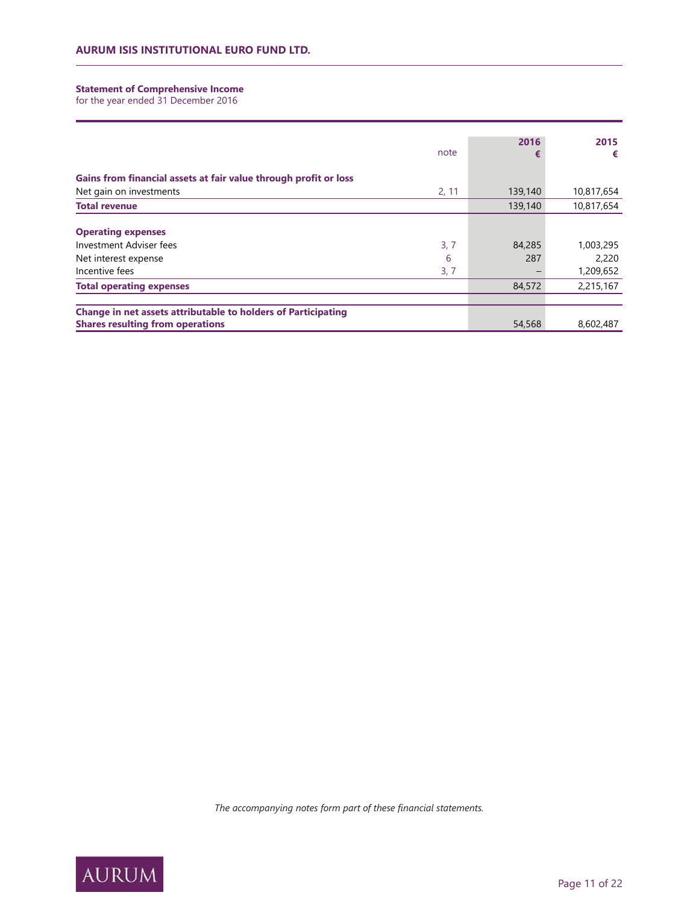### **Statement of Comprehensive Income**

for the year ended 31 December 2016

|                                                                  | 2016    | 2015       |  |
|------------------------------------------------------------------|---------|------------|--|
| note                                                             | €       | €          |  |
| Gains from financial assets at fair value through profit or loss |         |            |  |
|                                                                  |         |            |  |
| Net gain on investments<br>2, 11                                 | 139,140 | 10,817,654 |  |
| <b>Total revenue</b>                                             | 139,140 | 10,817,654 |  |
|                                                                  |         |            |  |
| <b>Operating expenses</b>                                        |         |            |  |
| Investment Adviser fees<br>3, 7                                  | 84,285  | 1,003,295  |  |
| 6<br>Net interest expense                                        | 287     | 2,220      |  |
| Incentive fees<br>3, 7                                           |         | 1,209,652  |  |
| <b>Total operating expenses</b>                                  | 84,572  | 2,215,167  |  |
|                                                                  |         |            |  |
| Change in net assets attributable to holders of Participating    |         |            |  |
| <b>Shares resulting from operations</b>                          | 54,568  | 8,602,487  |  |

The accompanying notes form part of these financial statements.

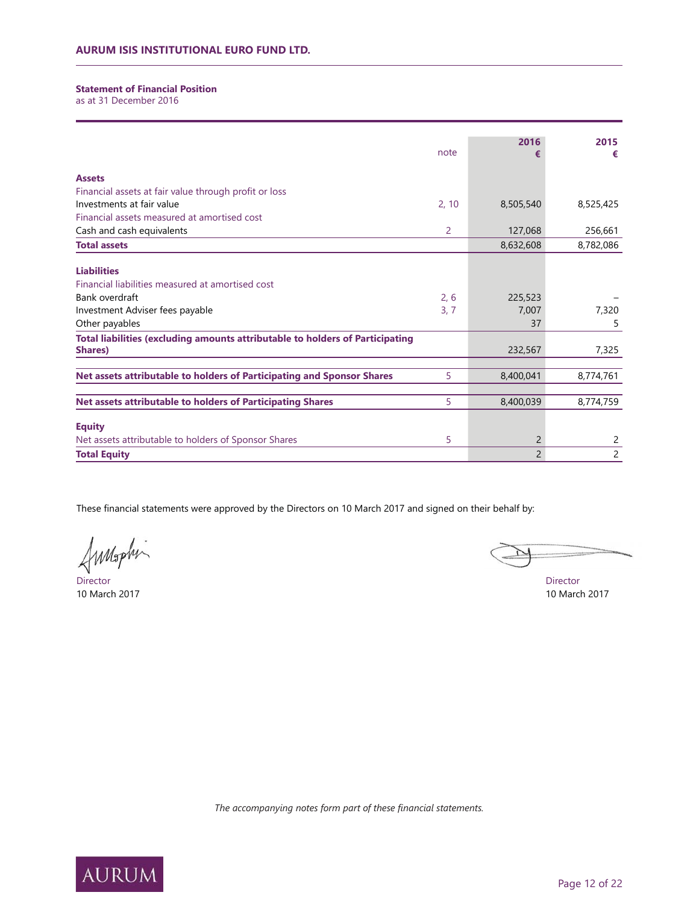# **Statement of Financial Position**

as at 31 December 2016

|                                                                               |       | 2016                     | 2015      |
|-------------------------------------------------------------------------------|-------|--------------------------|-----------|
|                                                                               | note  | €                        | €         |
| <b>Assets</b>                                                                 |       |                          |           |
| Financial assets at fair value through profit or loss                         |       |                          |           |
| Investments at fair value                                                     | 2, 10 | 8,505,540                | 8,525,425 |
| Financial assets measured at amortised cost                                   |       |                          |           |
| Cash and cash equivalents                                                     | 2     | 127,068                  | 256,661   |
| <b>Total assets</b>                                                           |       | 8,632,608                | 8,782,086 |
|                                                                               |       |                          |           |
| <b>Liabilities</b>                                                            |       |                          |           |
| Financial liabilities measured at amortised cost                              |       |                          |           |
| Bank overdraft                                                                | 2, 6  | 225,523                  |           |
| Investment Adviser fees payable                                               | 3, 7  | 7,007                    | 7,320     |
| Other payables                                                                |       | 37                       | 5         |
| Total liabilities (excluding amounts attributable to holders of Participating |       |                          |           |
| <b>Shares</b> )                                                               |       | 232,567                  | 7,325     |
|                                                                               |       |                          |           |
| Net assets attributable to holders of Participating and Sponsor Shares        | 5     | 8,400,041                | 8,774,761 |
| Net assets attributable to holders of Participating Shares                    | 5     | 8,400,039                | 8,774,759 |
|                                                                               |       |                          |           |
| <b>Equity</b>                                                                 |       |                          |           |
| Net assets attributable to holders of Sponsor Shares                          | 5     | 2                        | 2         |
| <b>Total Equity</b>                                                           |       | $\overline{\phantom{0}}$ | 2         |

These financial statements were approved by the Directors on 10 March 2017 and signed on their behalf by:

Director Director 10 March 2017 10 March 2017

r

The accompanying notes form part of these financial statements.

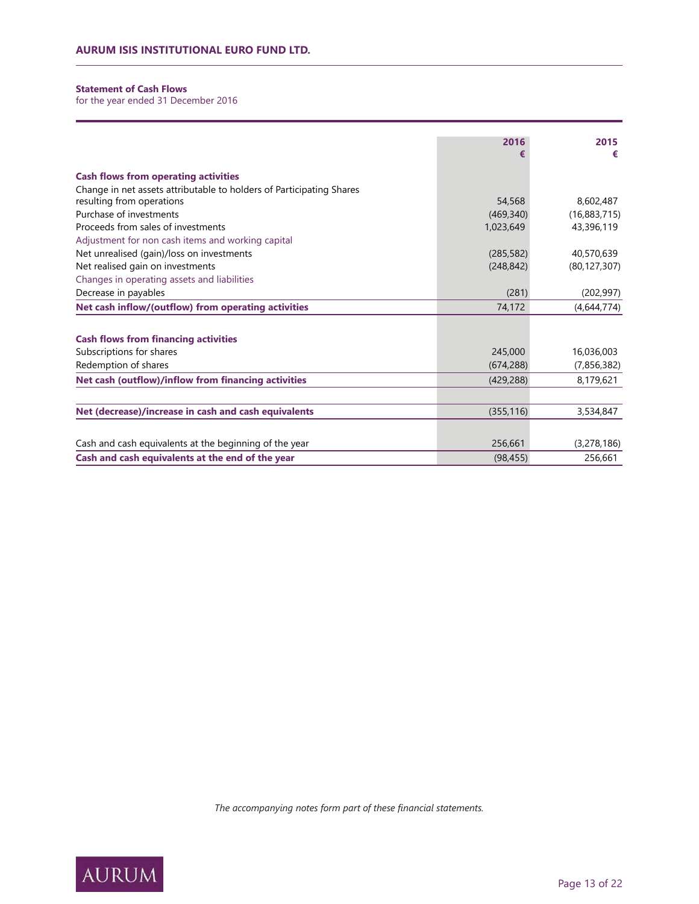# **Statement of Cash Flows**

for the year ended 31 December 2016

|                                                                      | 2016       | 2015<br>€      |
|----------------------------------------------------------------------|------------|----------------|
| <b>Cash flows from operating activities</b>                          |            |                |
| Change in net assets attributable to holders of Participating Shares |            |                |
| resulting from operations                                            | 54,568     | 8,602,487      |
| Purchase of investments                                              | (469, 340) | (16,883,715)   |
| Proceeds from sales of investments                                   | 1,023,649  | 43,396,119     |
| Adjustment for non cash items and working capital                    |            |                |
| Net unrealised (gain)/loss on investments                            | (285, 582) | 40,570,639     |
| Net realised gain on investments                                     | (248, 842) | (80, 127, 307) |
| Changes in operating assets and liabilities                          |            |                |
| Decrease in payables                                                 | (281)      | (202, 997)     |
| Net cash inflow/(outflow) from operating activities                  | 74,172     | (4,644,774)    |
|                                                                      |            |                |
| <b>Cash flows from financing activities</b>                          |            |                |
| Subscriptions for shares                                             | 245,000    | 16,036,003     |
| Redemption of shares                                                 | (674, 288) | (7,856,382)    |
| Net cash (outflow)/inflow from financing activities                  | (429, 288) | 8,179,621      |
|                                                                      |            |                |
| Net (decrease)/increase in cash and cash equivalents                 | (355, 116) | 3,534,847      |
| Cash and cash equivalents at the beginning of the year               | 256,661    | (3,278,186)    |
| Cash and cash equivalents at the end of the year                     | (98, 455)  | 256,661        |

The accompanying notes form part of these financial statements.

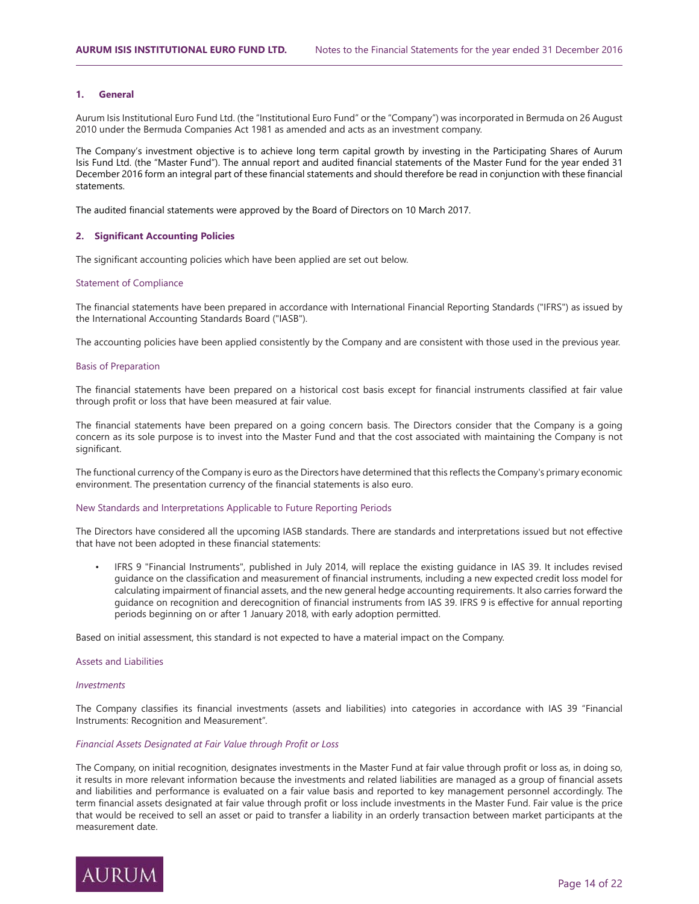## **1. General**

Aurum Isis Institutional Euro Fund Ltd. (the "Institutional Euro Fund" or the "Company") was incorporated in Bermuda on 26 August 2010 under the Bermuda Companies Act 1981 as amended and acts as an investment company.

The Company's investment objective is to achieve long term capital growth by investing in the Participating Shares of Aurum Isis Fund Ltd. (the "Master Fund"). The annual report and audited financial statements of the Master Fund for the year ended 31 December 2016 form an integral part of these financial statements and should therefore be read in conjunction with these financial statements.

The audited financial statements were approved by the Board of Directors on 10 March 2017.

### **2. Significant Accounting Policies**

The significant accounting policies which have been applied are set out below.

#### Statement of Compliance

The financial statements have been prepared in accordance with International Financial Reporting Standards ("IFRS") as issued by the International Accounting Standards Board ("IASB").

The accounting policies have been applied consistently by the Company and are consistent with those used in the previous year.

#### Basis of Preparation

The financial statements have been prepared on a historical cost basis except for financial instruments classified at fair value through profit or loss that have been measured at fair value.

The financial statements have been prepared on a going concern basis. The Directors consider that the Company is a going concern as its sole purpose is to invest into the Master Fund and that the cost associated with maintaining the Company is not significant.

The functional currency of the Company is euro as the Directors have determined that this reflects the Company's primary economic environment. The presentation currency of the financial statements is also euro.

#### New Standards and Interpretations Applicable to Future Reporting Periods

The Directors have considered all the upcoming IASB standards. There are standards and interpretations issued but not effective that have not been adopted in these financial statements:

• IFRS 9 "Financial Instruments", published in July 2014, will replace the existing guidance in IAS 39. It includes revised guidance on the classification and measurement of financial instruments, including a new expected credit loss model for calculating impairment of financial assets, and the new general hedge accounting requirements. It also carries forward the guidance on recognition and derecognition of financial instruments from IAS 39. IFRS 9 is effective for annual reporting periods beginning on or after 1 January 2018, with early adoption permitted.

Based on initial assessment, this standard is not expected to have a material impact on the Company.

#### Assets and Liabilities

#### *Investments*

The Company classifies its financial investments (assets and liabilities) into categories in accordance with IAS 39 "Financial Instruments: Recognition and Measurement".

### **Financial Assets Designated at Fair Value through Profit or Loss**

The Company, on initial recognition, designates investments in the Master Fund at fair value through profit or loss as, in doing so, it results in more relevant information because the investments and related liabilities are managed as a group of financial assets and liabilities and performance is evaluated on a fair value basis and reported to key management personnel accordingly. The term financial assets designated at fair value through profit or loss include investments in the Master Fund. Fair value is the price that would be received to sell an asset or paid to transfer a liability in an orderly transaction between market participants at the measurement date.

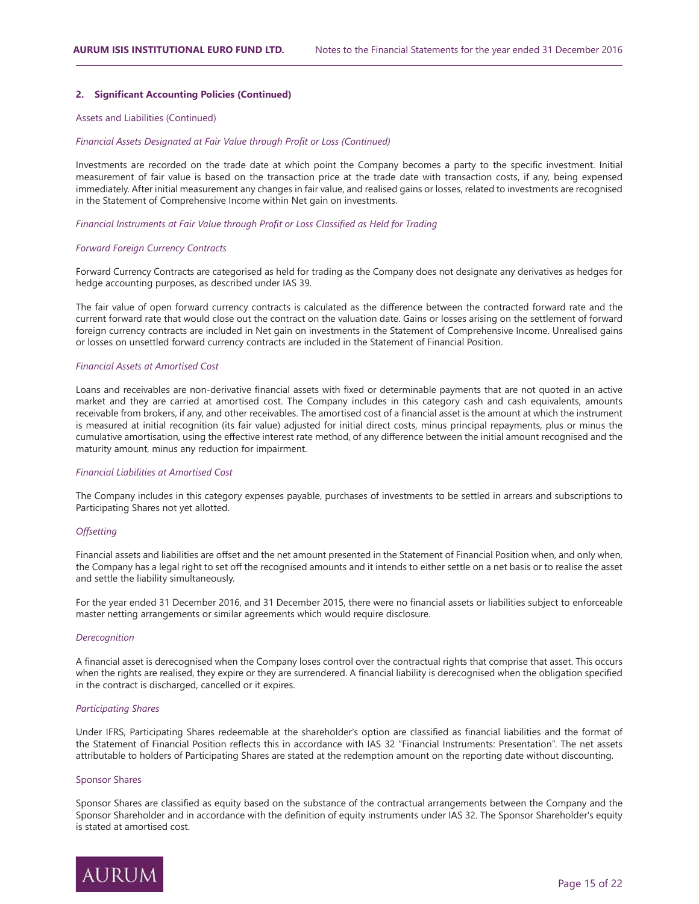## **2. Significant Accounting Policies (Continued)**

## Assets and Liabilities (Continued)

#### **Financial Assets Designated at Fair Value through Profit or Loss (Continued)**

Investments are recorded on the trade date at which point the Company becomes a party to the specific investment. Initial measurement of fair value is based on the transaction price at the trade date with transaction costs, if any, being expensed immediately. After initial measurement any changes in fair value, and realised gains or losses, related to investments are recognised in the Statement of Comprehensive Income within Net gain on investments.

## Financial Instruments at Fair Value through Profit or Loss Classified as Held for Trading

#### *Forward Foreign Currency Contracts*

Forward Currency Contracts are categorised as held for trading as the Company does not designate any derivatives as hedges for hedge accounting purposes, as described under IAS 39.

The fair value of open forward currency contracts is calculated as the difference between the contracted forward rate and the current forward rate that would close out the contract on the valuation date. Gains or losses arising on the settlement of forward foreign currency contracts are included in Net gain on investments in the Statement of Comprehensive Income. Unrealised gains or losses on unsettled forward currency contracts are included in the Statement of Financial Position.

#### *Financial Assets at Amortised Cost*

Loans and receivables are non-derivative financial assets with fixed or determinable payments that are not quoted in an active market and they are carried at amortised cost. The Company includes in this category cash and cash equivalents, amounts receivable from brokers, if any, and other receivables. The amortised cost of a financial asset is the amount at which the instrument is measured at initial recognition (its fair value) adjusted for initial direct costs, minus principal repayments, plus or minus the cumulative amortisation, using the effective interest rate method, of any difference between the initial amount recognised and the maturity amount, minus any reduction for impairment.

#### **Financial Liabilities at Amortised Cost**

The Company includes in this category expenses payable, purchases of investments to be settled in arrears and subscriptions to Participating Shares not yet allotted.

### **2***<u>Offsetting</u>*

Financial assets and liabilities are offset and the net amount presented in the Statement of Financial Position when, and only when, the Company has a legal right to set off the recognised amounts and it intends to either settle on a net basis or to realise the asset and settle the liability simultaneously.

For the year ended 31 December 2016, and 31 December 2015, there were no financial assets or liabilities subject to enforceable master netting arrangements or similar agreements which would require disclosure.

## *Derecognition*

A financial asset is derecognised when the Company loses control over the contractual rights that comprise that asset. This occurs when the rights are realised, they expire or they are surrendered. A financial liability is derecognised when the obligation specified in the contract is discharged, cancelled or it expires.

#### *Participating Shares*

Under IFRS, Participating Shares redeemable at the shareholder's option are classified as financial liabilities and the format of the Statement of Financial Position reflects this in accordance with IAS 32 "Financial Instruments: Presentation". The net assets attributable to holders of Participating Shares are stated at the redemption amount on the reporting date without discounting.

## Sponsor Shares

Sponsor Shares are classified as equity based on the substance of the contractual arrangements between the Company and the Sponsor Shareholder and in accordance with the definition of equity instruments under IAS 32. The Sponsor Shareholder's equity is stated at amortised cost.

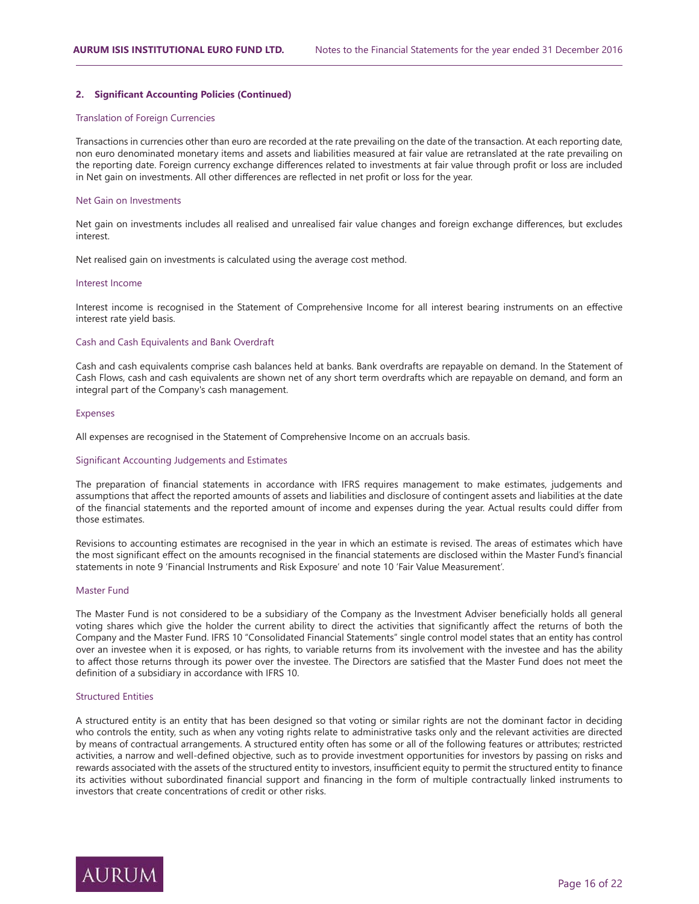#### **2. Significant Accounting Policies (Continued)**

## Translation of Foreign Currencies

Transactions in currencies other than euro are recorded at the rate prevailing on the date of the transaction. At each reporting date, non euro denominated monetary items and assets and liabilities measured at fair value are retranslated at the rate prevailing on the reporting date. Foreign currency exchange differences related to investments at fair value through profit or loss are included in Net gain on investments. All other differences are reflected in net profit or loss for the year.

### Net Gain on Investments

Net gain on investments includes all realised and unrealised fair value changes and foreign exchange differences, but excludes interest.

Net realised gain on investments is calculated using the average cost method.

#### Interest Income

Interest income is recognised in the Statement of Comprehensive Income for all interest bearing instruments on an effective interest rate yield basis.

#### Cash and Cash Equivalents and Bank Overdraft

Cash and cash equivalents comprise cash balances held at banks. Bank overdrafts are repayable on demand. In the Statement of Cash Flows, cash and cash equivalents are shown net of any short term overdrafts which are repayable on demand, and form an integral part of the Company's cash management.

#### Expenses

All expenses are recognised in the Statement of Comprehensive Income on an accruals basis.

#### Significant Accounting Judgements and Estimates

The preparation of financial statements in accordance with IFRS requires management to make estimates, judgements and assumptions that affect the reported amounts of assets and liabilities and disclosure of contingent assets and liabilities at the date of the financial statements and the reported amount of income and expenses during the year. Actual results could differ from those estimates.

Revisions to accounting estimates are recognised in the year in which an estimate is revised. The areas of estimates which have the most significant effect on the amounts recognised in the financial statements are disclosed within the Master Fund's financial statements in note 9 'Financial Instruments and Risk Exposure' and note 10 'Fair Value Measurement'.

## Master Fund

The Master Fund is not considered to be a subsidiary of the Company as the Investment Adviser beneficially holds all general voting shares which give the holder the current ability to direct the activities that significantly affect the returns of both the Company and the Master Fund. IFRS 10 "Consolidated Financial Statements" single control model states that an entity has control over an investee when it is exposed, or has rights, to variable returns from its involvement with the investee and has the ability to affect those returns through its power over the investee. The Directors are satisfied that the Master Fund does not meet the definition of a subsidiary in accordance with IFRS 10.

## Structured Entities

A structured entity is an entity that has been designed so that voting or similar rights are not the dominant factor in deciding who controls the entity, such as when any voting rights relate to administrative tasks only and the relevant activities are directed by means of contractual arrangements. A structured entity often has some or all of the following features or attributes; restricted activities, a narrow and well-defined objective, such as to provide investment opportunities for investors by passing on risks and rewards associated with the assets of the structured entity to investors, insufficient equity to permit the structured entity to finance its activities without subordinated financial support and financing in the form of multiple contractually linked instruments to investors that create concentrations of credit or other risks.

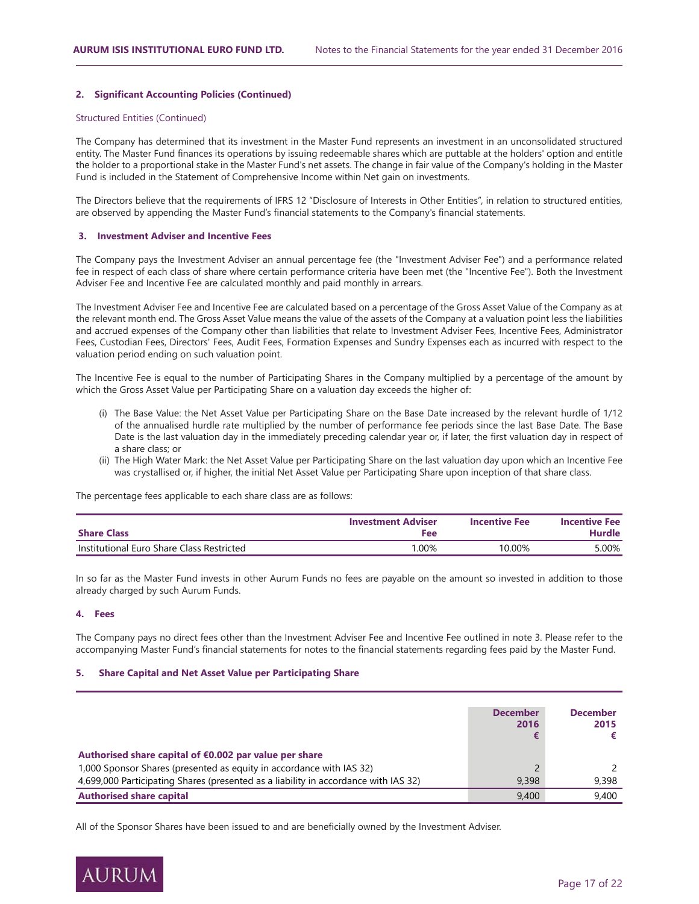## **2. Significant Accounting Policies (Continued)**

## Structured Entities (Continued)

The Company has determined that its investment in the Master Fund represents an investment in an unconsolidated structured entity. The Master Fund finances its operations by issuing redeemable shares which are puttable at the holders' option and entitle the holder to a proportional stake in the Master Fund's net assets. The change in fair value of the Company's holding in the Master Fund is included in the Statement of Comprehensive Income within Net gain on investments.

The Directors believe that the requirements of IFRS 12 "Disclosure of Interests in Other Entities", in relation to structured entities, are observed by appending the Master Fund's financial statements to the Company's financial statements.

#### **3.** Investment Adviser and Incentive Fees

The Company pays the Investment Adviser an annual percentage fee (the "Investment Adviser Fee") and a performance related fee in respect of each class of share where certain performance criteria have been met (the "Incentive Fee"). Both the Investment Adviser Fee and Incentive Fee are calculated monthly and paid monthly in arrears.

The Investment Adviser Fee and Incentive Fee are calculated based on a percentage of the Gross Asset Value of the Company as at the relevant month end. The Gross Asset Value means the value of the assets of the Company at a valuation point less the liabilities and accrued expenses of the Company other than liabilities that relate to Investment Adviser Fees, Incentive Fees, Administrator Fees, Custodian Fees, Directors' Fees, Audit Fees, Formation Expenses and Sundry Expenses each as incurred with respect to the valuation period ending on such valuation point.

The Incentive Fee is equal to the number of Participating Shares in the Company multiplied by a percentage of the amount by which the Gross Asset Value per Participating Share on a valuation day exceeds the higher of:

- (i) The Base Value: the Net Asset Value per Participating Share on the Base Date increased by the relevant hurdle of 1/12 of the annualised hurdle rate multiplied by the number of performance fee periods since the last Base Date. The Base Date is the last valuation day in the immediately preceding calendar year or, if later, the first valuation day in respect of a share class; or
- (ii) The High Water Mark: the Net Asset Value per Participating Share on the last valuation day upon which an Incentive Fee was crystallised or, if higher, the initial Net Asset Value per Participating Share upon inception of that share class.

The percentage fees applicable to each share class are as follows:

| <b>Share Class</b>                        | <b>Investment Adviser</b><br>Fee | <b>Incentive Fee</b> | <b>Incentive Fee</b><br>Hurdle |
|-------------------------------------------|----------------------------------|----------------------|--------------------------------|
| Institutional Euro Share Class Restricted | $00\%$                           | 10.00%               | 5.00%                          |

In so far as the Master Fund invests in other Aurum Funds no fees are payable on the amount so invested in addition to those already charged by such Aurum Funds.

## **4. Fees**

The Company pays no direct fees other than the Investment Adviser Fee and Incentive Fee outlined in note 3. Please refer to the accompanying Master Fund's financial statements for notes to the financial statements regarding fees paid by the Master Fund.

## **5. Share Capital and Net Asset Value per Participating Share**

|                                                                                     | <b>December</b><br>2016 | <b>December</b><br>2015 |
|-------------------------------------------------------------------------------------|-------------------------|-------------------------|
| Authorised share capital of €0.002 par value per share                              |                         |                         |
| 1,000 Sponsor Shares (presented as equity in accordance with IAS 32)                |                         |                         |
| 4,699,000 Participating Shares (presented as a liability in accordance with IAS 32) | 9.398                   | 9.398                   |
| <b>Authorised share capital</b>                                                     | 9,400                   | 9,400                   |

All of the Sponsor Shares have been issued to and are beneficially owned by the Investment Adviser.

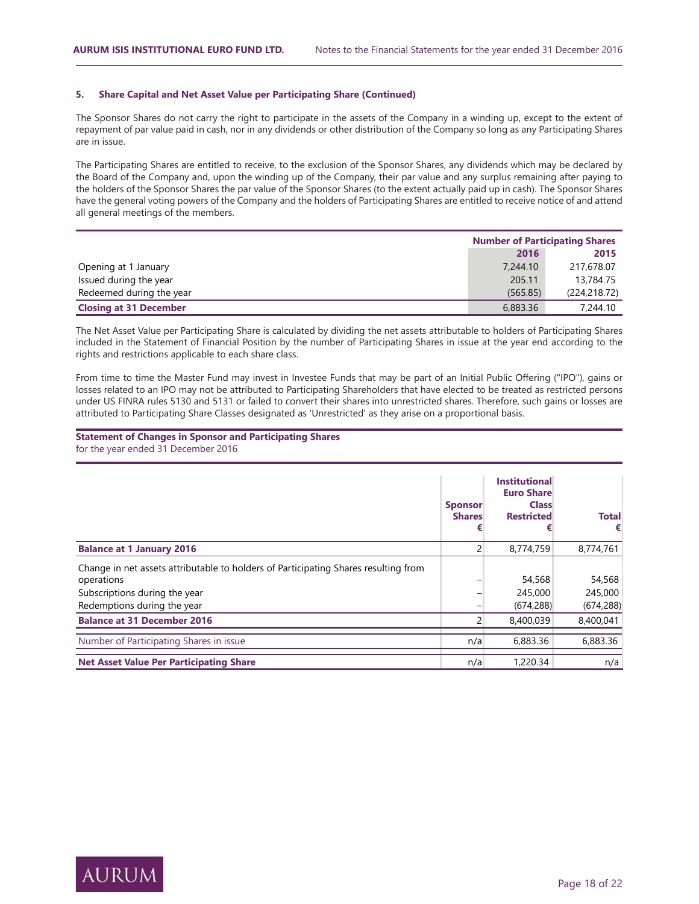## **5. Share Capital and Net Asset Value per Participating Share (Continued)**

The Sponsor Shares do not carry the right to participate in the assets of the Company in a winding up, except to the extent of repayment of par value paid in cash, nor in any dividends or other distribution of the Company so long as any Participating Shares are in issue.

The Participating Shares are entitled to receive, to the exclusion of the Sponsor Shares, any dividends which may be declared by the Board of the Company and, upon the winding up of the Company, their par value and any surplus remaining after paying to the holders of the Sponsor Shares the par value of the Sponsor Shares (to the extent actually paid up in cash). The Sponsor Shares have the general voting powers of the Company and the holders of Participating Shares are entitled to receive notice of and attend all general meetings of the members.

|                               | <b>Number of Participating Shares</b> |                |  |
|-------------------------------|---------------------------------------|----------------|--|
|                               | 2015<br>2016                          |                |  |
| Opening at 1 January          | 7,244.10                              | 217,678.07     |  |
| Issued during the year        | 205.11                                | 13,784.75      |  |
| Redeemed during the year      | (565.85)                              | (224, 218, 72) |  |
| <b>Closing at 31 December</b> | 6,883.36                              | 7,244.10       |  |

The Net Asset Value per Participating Share is calculated by dividing the net assets attributable to holders of Participating Shares included in the Statement of Financial Position by the number of Participating Shares in issue at the year end according to the rights and restrictions applicable to each share class.

From time to time the Master Fund may invest in Investee Funds that may be part of an Initial Public Offering ("IPO"), gains or losses related to an IPO may not be attributed to Participating Shareholders that have elected to be treated as restricted persons under US FINRA rules 5130 and 5131 or failed to convert their shares into unrestricted shares. Therefore, such gains or losses are attributed to Participating Share Classes designated as 'Unrestricted' as they arise on a proportional basis.

**Statement of Changes in Sponsor and Participating Shares** for the year ended 31 December 2016

|                                                                                     | <b>Sponsor</b><br><b>Shares</b> | <b>Institutional</b><br><b>Euro Share</b><br><b>Class</b><br><b>Restricted</b> | <b>Total</b><br>€ |
|-------------------------------------------------------------------------------------|---------------------------------|--------------------------------------------------------------------------------|-------------------|
| <b>Balance at 1 January 2016</b>                                                    |                                 | 8,774,759                                                                      | 8,774,761         |
| Change in net assets attributable to holders of Participating Shares resulting from |                                 |                                                                                |                   |
| operations                                                                          |                                 | 54,568                                                                         | 54,568            |
| Subscriptions during the year                                                       |                                 | 245,000                                                                        | 245,000           |
| Redemptions during the year                                                         |                                 | (674, 288)                                                                     | (674, 288)        |
| <b>Balance at 31 December 2016</b>                                                  |                                 | 8,400,039                                                                      | 8,400,041         |
| Number of Participating Shares in issue                                             | n/a                             | 6,883.36                                                                       | 6,883.36          |
| <b>Net Asset Value Per Participating Share</b>                                      | n/a                             | 1,220.34                                                                       | n/a               |

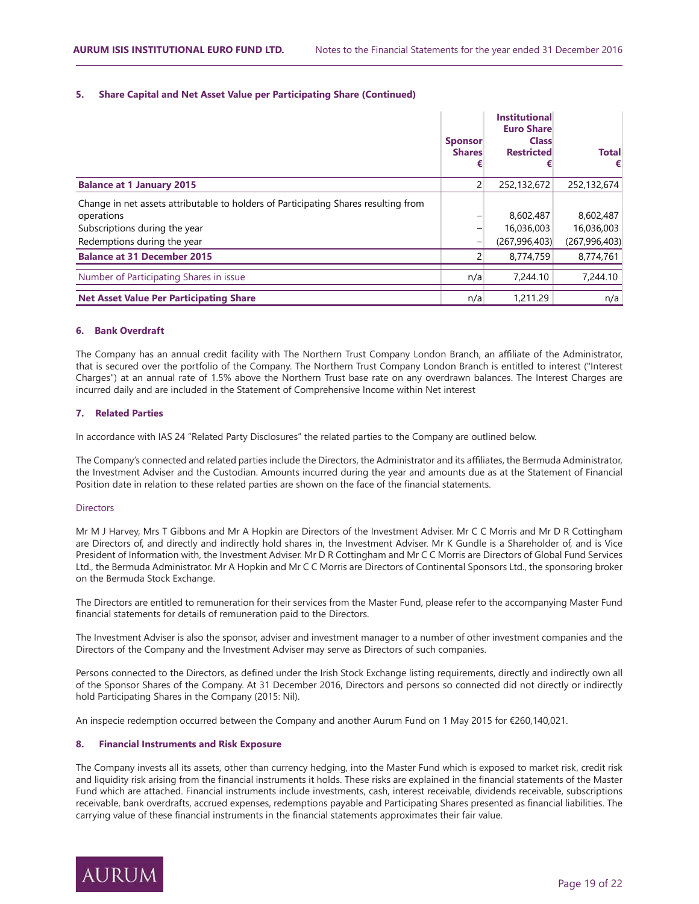## **5. Share Capital and Net Asset Value per Participating Share (Continued)**

|                                                                                                                                                                   | <b>Sponsor</b><br><b>Shares</b> | <b>Institutional</b><br><b>Euro Share</b><br><b>Class</b><br><b>Restricted</b> | <b>Total</b><br>€                        |
|-------------------------------------------------------------------------------------------------------------------------------------------------------------------|---------------------------------|--------------------------------------------------------------------------------|------------------------------------------|
| <b>Balance at 1 January 2015</b>                                                                                                                                  | $\overline{2}$                  | 252,132,672                                                                    | 252,132,674                              |
| Change in net assets attributable to holders of Participating Shares resulting from<br>operations<br>Subscriptions during the year<br>Redemptions during the year |                                 | 8,602,487<br>16.036.003<br>(267,996,403)                                       | 8,602,487<br>16,036,003<br>(267,996,403) |
| <b>Balance at 31 December 2015</b>                                                                                                                                |                                 | 8,774,759                                                                      | 8,774,761                                |
| Number of Participating Shares in issue                                                                                                                           | n/a                             | 7,244.10                                                                       | 7,244.10                                 |
| <b>Net Asset Value Per Participating Share</b>                                                                                                                    | n/a                             | 1,211.29                                                                       | n/a                                      |

### **6.** Bank Overdraft

The Company has an annual credit facility with The Northern Trust Company London Branch, an affiliate of the Administrator, that is secured over the portfolio of the Company. The Northern Trust Company London Branch is entitled to interest ("Interest Charges") at an annual rate of 1.5% above the Northern Trust base rate on any overdrawn balances. The Interest Charges are incurred daily and are included in the Statement of Comprehensive Income within Net interest

## **7. Related Parties**

In accordance with IAS 24 "Related Party Disclosures" the related parties to the Company are outlined below.

The Company's connected and related parties include the Directors, the Administrator and its affiliates, the Bermuda Administrator, the Investment Adviser and the Custodian. Amounts incurred during the year and amounts due as at the Statement of Financial Position date in relation to these related parties are shown on the face of the financial statements.

#### **Directors**

Mr M J Harvey, Mrs T Gibbons and Mr A Hopkin are Directors of the Investment Adviser. Mr C C Morris and Mr D R Cottingham are Directors of, and directly and indirectly hold shares in, the Investment Adviser. Mr K Gundle is a Shareholder of, and is Vice President of Information with, the Investment Adviser. Mr D R Cottingham and Mr C C Morris are Directors of Global Fund Services Ltd., the Bermuda Administrator. Mr A Hopkin and Mr C C Morris are Directors of Continental Sponsors Ltd., the sponsoring broker on the Bermuda Stock Exchange.

The Directors are entitled to remuneration for their services from the Master Fund, please refer to the accompanying Master Fund financial statements for details of remuneration paid to the Directors.

The Investment Adviser is also the sponsor, adviser and investment manager to a number of other investment companies and the Directors of the Company and the Investment Adviser may serve as Directors of such companies.

Persons connected to the Directors, as defined under the Irish Stock Exchange listing requirements, directly and indirectly own all of the Sponsor Shares of the Company. At 31 December 2016, Directors and persons so connected did not directly or indirectly hold Participating Shares in the Company (2015: Nil).

An inspecie redemption occurred between the Company and another Aurum Fund on 1 May 2015 for €260,140,021.

### **8. Financial Instruments and Risk Exposure**

The Company invests all its assets, other than currency hedging, into the Master Fund which is exposed to market risk, credit risk and liquidity risk arising from the financial instruments it holds. These risks are explained in the financial statements of the Master Fund which are attached. Financial instruments include investments, cash, interest receivable, dividends receivable, subscriptions receivable, bank overdrafts, accrued expenses, redemptions payable and Participating Shares presented as financial liabilities. The carrying value of these financial instruments in the financial statements approximates their fair value.

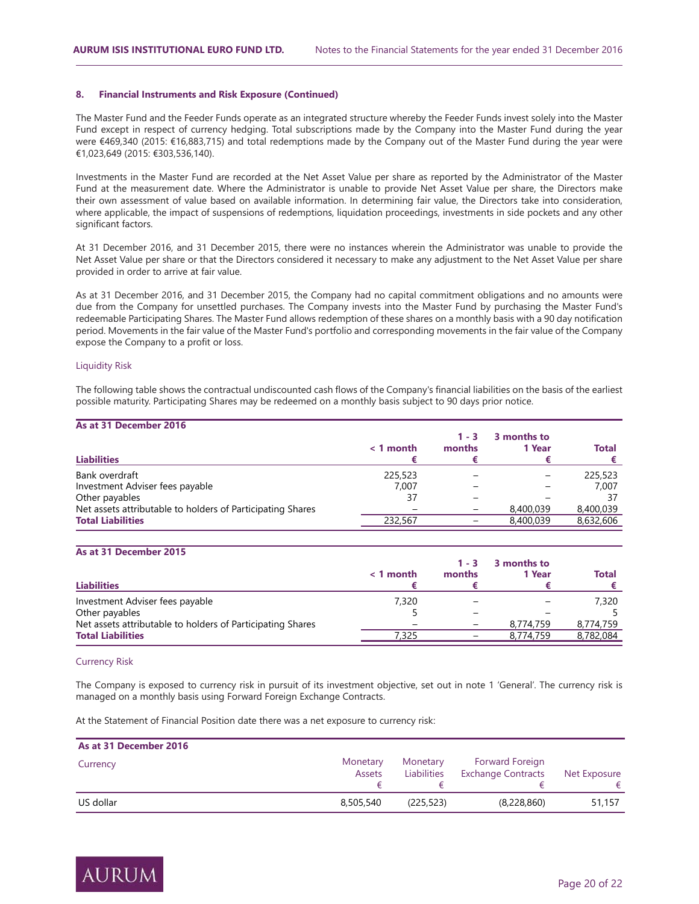## **8. Financial Instruments and Risk Exposure (Continued)**

The Master Fund and the Feeder Funds operate as an integrated structure whereby the Feeder Funds invest solely into the Master Fund except in respect of currency hedging. Total subscriptions made by the Company into the Master Fund during the year were €469,340 (2015: €16,883,715) and total redemptions made by the Company out of the Master Fund during the year were €1,023,649 (2015: €303,536,140).

Investments in the Master Fund are recorded at the Net Asset Value per share as reported by the Administrator of the Master Fund at the measurement date. Where the Administrator is unable to provide Net Asset Value per share, the Directors make their own assessment of value based on available information. In determining fair value, the Directors take into consideration, where applicable, the impact of suspensions of redemptions, liquidation proceedings, investments in side pockets and any other significant factors.

At 31 December 2016, and 31 December 2015, there were no instances wherein the Administrator was unable to provide the Net Asset Value per share or that the Directors considered it necessary to make any adjustment to the Net Asset Value per share provided in order to arrive at fair value.

As at 31 December 2016, and 31 December 2015, the Company had no capital commitment obligations and no amounts were due from the Company for unsettled purchases. The Company invests into the Master Fund by purchasing the Master Fund's redeemable Participating Shares. The Master Fund allows redemption of these shares on a monthly basis with a 90 day notification period. Movements in the fair value of the Master Fund's portfolio and corresponding movements in the fair value of the Company expose the Company to a profit or loss.

#### Liquidity Risk

The following table shows the contractual undiscounted cash flows of the Company's financial liabilities on the basis of the earliest possible maturity. Participating Shares may be redeemed on a monthly basis subject to 90 days prior notice.

| As at 31 December 2016                                     |                |                   |                          |              |
|------------------------------------------------------------|----------------|-------------------|--------------------------|--------------|
| <b>Liabilities</b>                                         | $\leq 1$ month | $1 - 3$<br>months | 3 months to<br>1 Year    | <b>Total</b> |
| Bank overdraft                                             | 225,523        |                   | $\overline{\phantom{0}}$ | 225,523      |
| Investment Adviser fees payable                            | 7.007          |                   |                          | 7.007        |
| Other payables                                             | 37             |                   |                          |              |
| Net assets attributable to holders of Participating Shares |                |                   | 8,400,039                | 8,400,039    |
| <b>Total Liabilities</b>                                   | 232,567        |                   | 8,400,039                | 8,632,606    |
|                                                            |                |                   |                          |              |

## **As at 31 December 2015**

| <b>Liabilities</b>                                         | $\leq 1$ month | $1 - 3$<br>months        | 3 months to<br>1 Year | <b>Total</b> |
|------------------------------------------------------------|----------------|--------------------------|-----------------------|--------------|
| Investment Adviser fees payable                            | 7,320          |                          |                       | 7.320        |
| Other payables                                             |                |                          |                       |              |
| Net assets attributable to holders of Participating Shares |                | $\overline{\phantom{0}}$ | 8,774,759             | 8,774,759    |
| <b>Total Liabilities</b>                                   | 7,325          |                          | 8,774,759             | 8,782,084    |

#### Currency Risk

The Company is exposed to currency risk in pursuit of its investment objective, set out in note 1 'General'. The currency risk is managed on a monthly basis using Forward Foreign Exchange Contracts.

At the Statement of Financial Position date there was a net exposure to currency risk:

| As at 31 December 2016 |                    |                                |                                              |              |
|------------------------|--------------------|--------------------------------|----------------------------------------------|--------------|
| Currency               | Monetary<br>Assets | Monetary<br><b>Liabilities</b> | Forward Foreign<br><b>Exchange Contracts</b> | Net Exposure |
| US dollar              | 8,505,540          | (225.523)                      | (8,228,860)                                  | 51,157       |

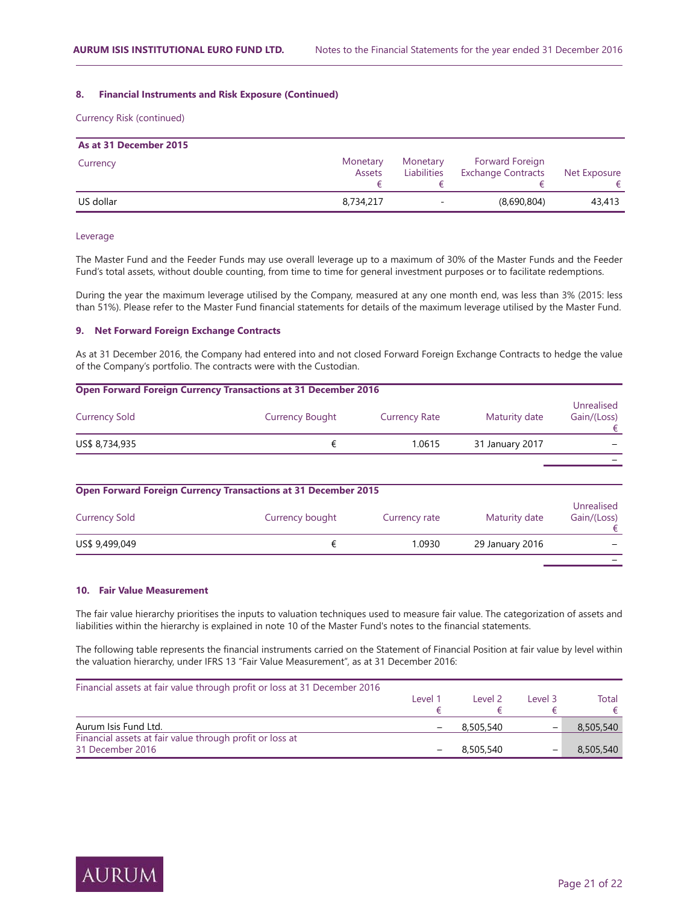## **8. Financial Instruments and Risk Exposure (Continued)**

Currency Risk (continued)

| As at 31 December 2015 |                    |                                |                                              |              |
|------------------------|--------------------|--------------------------------|----------------------------------------------|--------------|
| Currency               | Monetary<br>Assets | Monetary<br><b>Liabilities</b> | Forward Foreign<br><b>Exchange Contracts</b> | Net Exposure |
| US dollar              | 8.734.217          | $\overline{\phantom{0}}$       | (8,690,804)                                  | 43,413       |

## Leverage

The Master Fund and the Feeder Funds may use overall leverage up to a maximum of 30% of the Master Funds and the Feeder Fund's total assets, without double counting, from time to time for general investment purposes or to facilitate redemptions.

During the year the maximum leverage utilised by the Company, measured at any one month end, was less than 3% (2015: less than 51%). Please refer to the Master Fund financial statements for details of the maximum leverage utilised by the Master Fund.

### **9. Net Forward Foreign Exchange Contracts**

As at 31 December 2016, the Company had entered into and not closed Forward Foreign Exchange Contracts to hedge the value of the Company's portfolio. The contracts were with the Custodian.

|                      | <b>Open Forward Foreign Currency Transactions at 31 December 2016</b> |                      |                 |                           |
|----------------------|-----------------------------------------------------------------------|----------------------|-----------------|---------------------------|
| <b>Currency Sold</b> | <b>Currency Bought</b>                                                | <b>Currency Rate</b> | Maturity date   | Unrealised<br>Gain/(Loss) |
| US\$ 8,734,935       |                                                                       | 1.0615               | 31 January 2017 |                           |
|                      |                                                                       |                      |                 |                           |

| <b>Open Forward Foreign Currency Transactions at 31 December 2015</b> |                 |               |                 |                           |  |
|-----------------------------------------------------------------------|-----------------|---------------|-----------------|---------------------------|--|
| <b>Currency Sold</b>                                                  | Currency bought | Currency rate | Maturity date   | Unrealised<br>Gain/(Loss) |  |
| US\$ 9,499,049                                                        |                 | 1.0930        | 29 January 2016 |                           |  |

## **10. Fair Value Measurement**

The fair value hierarchy prioritises the inputs to valuation techniques used to measure fair value. The categorization of assets and liabilities within the hierarchy is explained in note 10 of the Master Fund's notes to the financial statements.

The following table represents the financial instruments carried on the Statement of Financial Position at fair value by level within the valuation hierarchy, under IFRS 13 "Fair Value Measurement", as at 31 December 2016:

| Financial assets at fair value through profit or loss at 31 December 2016 |          |           |                          |           |
|---------------------------------------------------------------------------|----------|-----------|--------------------------|-----------|
|                                                                           | l evel 1 | Level 2   | level <sub>3</sub>       | Total     |
|                                                                           |          |           |                          |           |
| Aurum Isis Fund Ltd.                                                      |          | 8,505,540 | -                        | 8,505,540 |
| Financial assets at fair value through profit or loss at                  |          |           |                          |           |
| 31 December 2016                                                          |          | 8,505,540 | $\overline{\phantom{0}}$ | 8,505,540 |



–